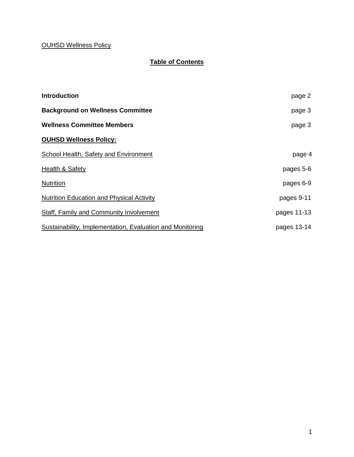### OUHSD Wellness Policy

# **Table of Contents**

| <b>Introduction</b>                                       | page 2      |
|-----------------------------------------------------------|-------------|
| <b>Background on Wellness Committee</b>                   | page 3      |
| <b>Wellness Committee Members</b>                         | page 3      |
| <b>OUHSD Wellness Policy:</b>                             |             |
| School Health, Safety and Environment                     | page 4      |
| Health & Safety                                           | pages 5-6   |
| <b>Nutrition</b>                                          | pages 6-9   |
| <b>Nutrition Education and Physical Activity</b>          | pages 9-11  |
| Staff, Family and Community Involvement                   | pages 11-13 |
| Sustainability, Implementation, Evaluation and Monitoring | pages 13-14 |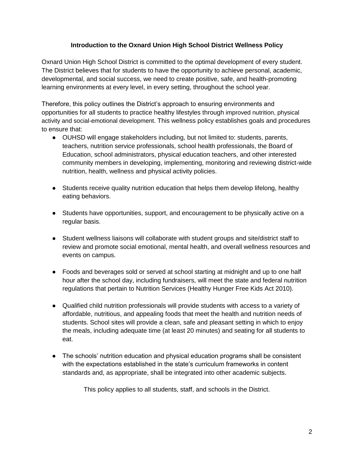#### **Introduction to the Oxnard Union High School District Wellness Policy**

Oxnard Union High School District is committed to the optimal development of every student. The District believes that for students to have the opportunity to achieve personal, academic, developmental, and social success, we need to create positive, safe, and health-promoting learning environments at every level, in every setting, throughout the school year.

Therefore, this policy outlines the District's approach to ensuring environments and opportunities for all students to practice healthy lifestyles through improved nutrition, physical activity and social-emotional development. This wellness policy establishes goals and procedures to ensure that:

- OUHSD will engage stakeholders including, but not limited to: students, parents, teachers, nutrition service professionals, school health professionals, the Board of Education, school administrators, physical education teachers, and other interested community members in developing, implementing, monitoring and reviewing district-wide nutrition, health, wellness and physical activity policies.
- Students receive quality nutrition education that helps them develop lifelong, healthy eating behaviors.
- Students have opportunities, support, and encouragement to be physically active on a regular basis.
- Student wellness liaisons will collaborate with student groups and site/district staff to review and promote social emotional, mental health, and overall wellness resources and events on campus.
- Foods and beverages sold or served at school starting at midnight and up to one half hour after the school day, including fundraisers, will meet the state and federal nutrition regulations that pertain to Nutrition Services (Healthy Hunger Free Kids Act 2010).
- Qualified child nutrition professionals will provide students with access to a variety of affordable, nutritious, and appealing foods that meet the health and nutrition needs of students. School sites will provide a clean, safe and pleasant setting in which to enjoy the meals, including adequate time (at least 20 minutes) and seating for all students to eat.
- The schools' nutrition education and physical education programs shall be consistent with the expectations established in the state's curriculum frameworks in content standards and, as appropriate, shall be integrated into other academic subjects.

This policy applies to all students, staff, and schools in the District.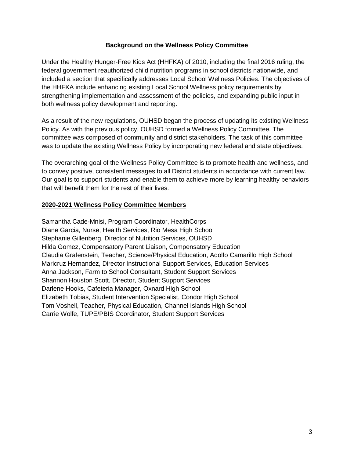#### **Background on the Wellness Policy Committee**

Under the Healthy Hunger-Free Kids Act (HHFKA) of 2010, including the final 2016 ruling, the federal government reauthorized child nutrition programs in school districts nationwide, and included a section that specifically addresses Local School Wellness Policies. The objectives of the HHFKA include enhancing existing Local School Wellness policy requirements by strengthening implementation and assessment of the policies, and expanding public input in both wellness policy development and reporting.

As a result of the new regulations, OUHSD began the process of updating its existing Wellness Policy. As with the previous policy, OUHSD formed a Wellness Policy Committee. The committee was composed of community and district stakeholders. The task of this committee was to update the existing Wellness Policy by incorporating new federal and state objectives.

The overarching goal of the Wellness Policy Committee is to promote health and wellness, and to convey positive, consistent messages to all District students in accordance with current law. Our goal is to support students and enable them to achieve more by learning healthy behaviors that will benefit them for the rest of their lives.

#### **2020-2021 Wellness Policy Committee Members**

Samantha Cade-Mnisi, Program Coordinator, HealthCorps Diane Garcia, Nurse, Health Services, Rio Mesa High School Stephanie Gillenberg, Director of Nutrition Services, OUHSD Hilda Gomez, Compensatory Parent Liaison, Compensatory Education Claudia Grafenstein, Teacher, Science/Physical Education, Adolfo Camarillo High School Maricruz Hernandez, Director Instructional Support Services, Education Services Anna Jackson, Farm to School Consultant, Student Support Services Shannon Houston Scott, Director, Student Support Services Darlene Hooks, Cafeteria Manager, Oxnard High School Elizabeth Tobias, Student Intervention Specialist, Condor High School Tom Voshell, Teacher, Physical Education, Channel Islands High School Carrie Wolfe, TUPE/PBIS Coordinator, Student Support Services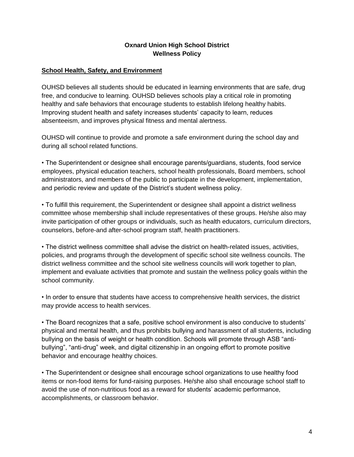### **Oxnard Union High School District Wellness Policy**

#### **School Health, Safety, and Environment**

OUHSD believes all students should be educated in learning environments that are safe, drug free, and conducive to learning. OUHSD believes schools play a critical role in promoting healthy and safe behaviors that encourage students to establish lifelong healthy habits. Improving student health and safety increases students' capacity to learn, reduces absenteeism, and improves physical fitness and mental alertness.

OUHSD will continue to provide and promote a safe environment during the school day and during all school related functions.

• The Superintendent or designee shall encourage parents/guardians, students, food service employees, physical education teachers, school health professionals, Board members, school administrators, and members of the public to participate in the development, implementation, and periodic review and update of the District's student wellness policy.

• To fulfill this requirement, the Superintendent or designee shall appoint a district wellness committee whose membership shall include representatives of these groups. He/she also may invite participation of other groups or individuals, such as health educators, curriculum directors, counselors, before-and after-school program staff, health practitioners.

• The district wellness committee shall advise the district on health-related issues, activities, policies, and programs through the development of specific school site wellness councils. The district wellness committee and the school site wellness councils will work together to plan, implement and evaluate activities that promote and sustain the wellness policy goals within the school community.

• In order to ensure that students have access to comprehensive health services, the district may provide access to health services.

• The Board recognizes that a safe, positive school environment is also conducive to students' physical and mental health, and thus prohibits bullying and harassment of all students, including bullying on the basis of weight or health condition. Schools will promote through ASB "antibullying", "anti-drug" week, and digital citizenship in an ongoing effort to promote positive behavior and encourage healthy choices.

• The Superintendent or designee shall encourage school organizations to use healthy food items or non-food items for fund-raising purposes. He/she also shall encourage school staff to avoid the use of non-nutritious food as a reward for students' academic performance, accomplishments, or classroom behavior.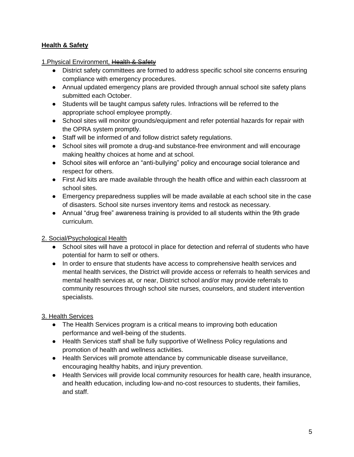### **Health & Safety**

1. Physical Environment, Health & Safety

- District safety committees are formed to address specific school site concerns ensuring compliance with emergency procedures.
- Annual updated emergency plans are provided through annual school site safety plans submitted each October.
- Students will be taught campus safety rules. Infractions will be referred to the appropriate school employee promptly.
- School sites will monitor grounds/equipment and refer potential hazards for repair with the OPRA system promptly.
- Staff will be informed of and follow district safety regulations.
- School sites will promote a drug-and substance-free environment and will encourage making healthy choices at home and at school.
- School sites will enforce an "anti-bullying" policy and encourage social tolerance and respect for others.
- First Aid kits are made available through the health office and within each classroom at school sites.
- Emergency preparedness supplies will be made available at each school site in the case of disasters. School site nurses inventory items and restock as necessary.
- Annual "drug free" awareness training is provided to all students within the 9th grade curriculum.

### 2. Social/Psychological Health

- School sites will have a protocol in place for detection and referral of students who have potential for harm to self or others.
- In order to ensure that students have access to comprehensive health services and mental health services, the District will provide access or referrals to health services and mental health services at, or near, District school and/or may provide referrals to community resources through school site nurses, counselors, and student intervention specialists.

# 3. Health Services

- The Health Services program is a critical means to improving both education performance and well-being of the students.
- Health Services staff shall be fully supportive of Wellness Policy regulations and promotion of health and wellness activities.
- Health Services will promote attendance by communicable disease surveillance, encouraging healthy habits, and injury prevention.
- Health Services will provide local community resources for health care, health insurance, and health education, including low-and no-cost resources to students, their families, and staff.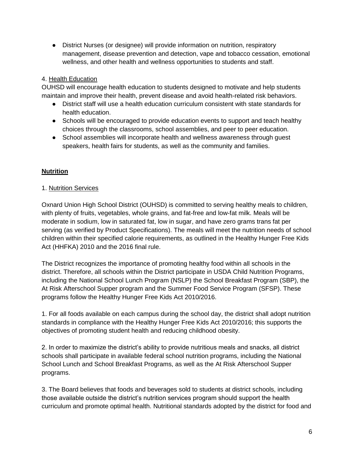● District Nurses (or designee) will provide information on nutrition, respiratory management, disease prevention and detection, vape and tobacco cessation, emotional wellness, and other health and wellness opportunities to students and staff.

### 4. Health Education

OUHSD will encourage health education to students designed to motivate and help students maintain and improve their health, prevent disease and avoid health-related risk behaviors.

- District staff will use a health education curriculum consistent with state standards for health education.
- Schools will be encouraged to provide education events to support and teach healthy choices through the classrooms, school assemblies, and peer to peer education.
- School assemblies will incorporate health and wellness awareness through quest speakers, health fairs for students, as well as the community and families.

# **Nutrition**

### 1. Nutrition Services

Oxnard Union High School District (OUHSD) is committed to serving healthy meals to children, with plenty of fruits, vegetables, whole grains, and fat-free and low-fat milk. Meals will be moderate in sodium, low in saturated fat, low in sugar, and have zero grams trans fat per serving (as verified by Product Specifications). The meals will meet the nutrition needs of school children within their specified calorie requirements, as outlined in the Healthy Hunger Free Kids Act (HHFKA) 2010 and the 2016 final rule.

The District recognizes the importance of promoting healthy food within all schools in the district. Therefore, all schools within the District participate in USDA Child Nutrition Programs, including the National School Lunch Program (NSLP) the School Breakfast Program (SBP), the At Risk Afterschool Supper program and the Summer Food Service Program (SFSP). These programs follow the Healthy Hunger Free Kids Act 2010/2016.

1. For all foods available on each campus during the school day, the district shall adopt nutrition standards in compliance with the Healthy Hunger Free Kids Act 2010/2016; this supports the objectives of promoting student health and reducing childhood obesity.

2. In order to maximize the district's ability to provide nutritious meals and snacks, all district schools shall participate in available federal school nutrition programs, including the National School Lunch and School Breakfast Programs, as well as the At Risk Afterschool Supper programs.

3. The Board believes that foods and beverages sold to students at district schools, including those available outside the district's nutrition services program should support the health curriculum and promote optimal health. Nutritional standards adopted by the district for food and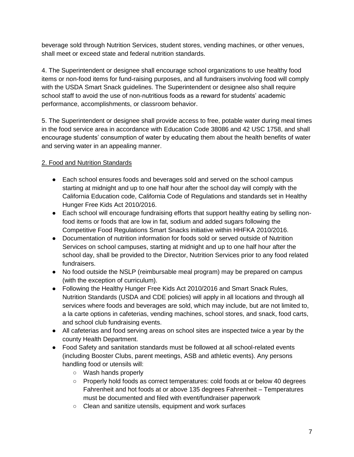beverage sold through Nutrition Services, student stores, vending machines, or other venues, shall meet or exceed state and federal nutrition standards.

4. The Superintendent or designee shall encourage school organizations to use healthy food items or non-food items for fund-raising purposes, and all fundraisers involving food will comply with the USDA Smart Snack guidelines. The Superintendent or designee also shall require school staff to avoid the use of non-nutritious foods as a reward for students' academic performance, accomplishments, or classroom behavior.

5. The Superintendent or designee shall provide access to free, potable water during meal times in the food service area in accordance with Education Code 38086 and 42 USC 1758, and shall encourage students' consumption of water by educating them about the health benefits of water and serving water in an appealing manner.

# 2. Food and Nutrition Standards

- Each school ensures foods and beverages sold and served on the school campus starting at midnight and up to one half hour after the school day will comply with the California Education code, California Code of Regulations and standards set in Healthy Hunger Free Kids Act 2010/2016.
- Each school will encourage fundraising efforts that support healthy eating by selling nonfood items or foods that are low in fat, sodium and added sugars following the Competitive Food Regulations Smart Snacks initiative within HHFKA 2010/2016.
- Documentation of nutrition information for foods sold or served outside of Nutrition Services on school campuses, starting at midnight and up to one half hour after the school day, shall be provided to the Director, Nutrition Services prior to any food related fundraisers.
- No food outside the NSLP (reimbursable meal program) may be prepared on campus (with the exception of curriculum).
- Following the Healthy Hunger Free Kids Act 2010/2016 and Smart Snack Rules, Nutrition Standards (USDA and CDE policies) will apply in all locations and through all services where foods and beverages are sold, which may include, but are not limited to, a la carte options in cafeterias, vending machines, school stores, and snack, food carts, and school club fundraising events.
- All cafeterias and food serving areas on school sites are inspected twice a year by the county Health Department.
- Food Safety and sanitation standards must be followed at all school-related events (including Booster Clubs, parent meetings, ASB and athletic events). Any persons handling food or utensils will:
	- Wash hands properly
	- Properly hold foods as correct temperatures: cold foods at or below 40 degrees Fahrenheit and hot foods at or above 135 degrees Fahrenheit – Temperatures must be documented and filed with event/fundraiser paperwork
	- Clean and sanitize utensils, equipment and work surfaces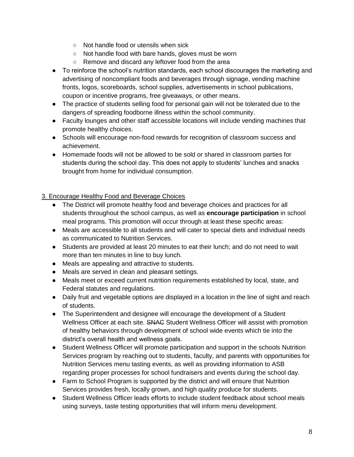- Not handle food or utensils when sick
- Not handle food with bare hands, gloves must be worn
- Remove and discard any leftover food from the area
- To reinforce the school's nutrition standards, each school discourages the marketing and advertising of noncompliant foods and beverages through signage, vending machine fronts, logos, scoreboards, school supplies, advertisements in school publications, coupon or incentive programs, free giveaways, or other means.
- The practice of students selling food for personal gain will not be tolerated due to the dangers of spreading foodborne illness within the school community.
- Faculty lounges and other staff accessible locations will include vending machines that promote healthy choices.
- Schools will encourage non-food rewards for recognition of classroom success and achievement.
- Homemade foods will not be allowed to be sold or shared in classroom parties for students during the school day. This does not apply to students' lunches and snacks brought from home for individual consumption.

### 3. Encourage Healthy Food and Beverage Choices

- The District will promote healthy food and beverage choices and practices for all students throughout the school campus, as well as **encourage participation** in school meal programs. This promotion will occur through at least these specific areas:
- Meals are accessible to all students and will cater to special diets and individual needs as communicated to Nutrition Services.
- Students are provided at least 20 minutes to eat their lunch; and do not need to wait more than ten minutes in line to buy lunch.
- Meals are appealing and attractive to students.
- Meals are served in clean and pleasant settings.
- Meals meet or exceed current nutrition requirements established by local, state, and Federal statutes and regulations.
- Daily fruit and vegetable options are displayed in a location in the line of sight and reach of students.
- The Superintendent and designee will encourage the development of a Student Wellness Officer at each site. SNAC Student Wellness Officer will assist with promotion of healthy behaviors through development of school wide events which tie into the district's overall health and wellness goals.
- Student Wellness Officer will promote participation and support in the schools Nutrition Services program by reaching out to students, faculty, and parents with opportunities for Nutrition Services menu tasting events, as well as providing information to ASB regarding proper processes for school fundraisers and events during the school day.
- Farm to School Program is supported by the district and will ensure that Nutrition Services provides fresh, locally grown, and high quality produce for students.
- Student Wellness Officer leads efforts to include student feedback about school meals using surveys, taste testing opportunities that will inform menu development.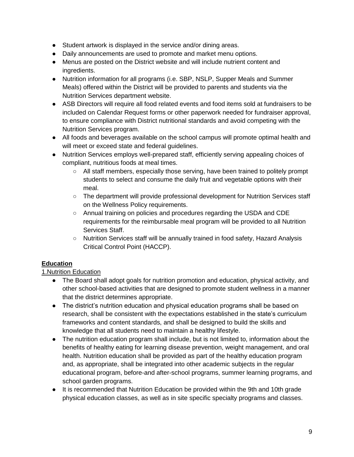- Student artwork is displayed in the service and/or dining areas.
- Daily announcements are used to promote and market menu options.
- Menus are posted on the District website and will include nutrient content and ingredients.
- Nutrition information for all programs (i.e. SBP, NSLP, Supper Meals and Summer Meals) offered within the District will be provided to parents and students via the Nutrition Services department website.
- ASB Directors will require all food related events and food items sold at fundraisers to be included on Calendar Request forms or other paperwork needed for fundraiser approval, to ensure compliance with District nutritional standards and avoid competing with the Nutrition Services program.
- All foods and beverages available on the school campus will promote optimal health and will meet or exceed state and federal guidelines.
- Nutrition Services employs well-prepared staff, efficiently serving appealing choices of compliant, nutritious foods at meal times.
	- All staff members, especially those serving, have been trained to politely prompt students to select and consume the daily fruit and vegetable options with their meal.
	- The department will provide professional development for Nutrition Services staff on the Wellness Policy requirements.
	- Annual training on policies and procedures regarding the USDA and CDE requirements for the reimbursable meal program will be provided to all Nutrition Services Staff.
	- Nutrition Services staff will be annually trained in food safety, Hazard Analysis Critical Control Point (HACCP).

# **Education**

# 1.Nutrition Education

- The Board shall adopt goals for nutrition promotion and education, physical activity, and other school-based activities that are designed to promote student wellness in a manner that the district determines appropriate.
- The district's nutrition education and physical education programs shall be based on research, shall be consistent with the expectations established in the state's curriculum frameworks and content standards, and shall be designed to build the skills and knowledge that all students need to maintain a healthy lifestyle.
- The nutrition education program shall include, but is not limited to, information about the benefits of healthy eating for learning disease prevention, weight management, and oral health. Nutrition education shall be provided as part of the healthy education program and, as appropriate, shall be integrated into other academic subjects in the regular educational program, before-and after-school programs, summer learning programs, and school garden programs.
- It is recommended that Nutrition Education be provided within the 9th and 10th grade physical education classes, as well as in site specific specialty programs and classes.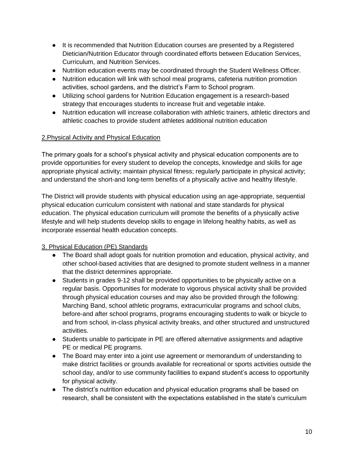- It is recommended that Nutrition Education courses are presented by a Registered Dietician/Nutrition Educator through coordinated efforts between Education Services, Curriculum, and Nutrition Services.
- Nutrition education events may be coordinated through the Student Wellness Officer.
- Nutrition education will link with school meal programs, cafeteria nutrition promotion activities, school gardens, and the district's Farm to School program.
- Utilizing school gardens for Nutrition Education engagement is a research-based strategy that encourages students to increase fruit and vegetable intake.
- Nutrition education will increase collaboration with athletic trainers, athletic directors and athletic coaches to provide student athletes additional nutrition education

### 2.Physical Activity and Physical Education

The primary goals for a school's physical activity and physical education components are to provide opportunities for every student to develop the concepts, knowledge and skills for age appropriate physical activity; maintain physical fitness; regularly participate in physical activity; and understand the short-and long-term benefits of a physically active and healthy lifestyle.

The District will provide students with physical education using an age-appropriate, sequential physical education curriculum consistent with national and state standards for physical education. The physical education curriculum will promote the benefits of a physically active lifestyle and will help students develop skills to engage in lifelong healthy habits, as well as incorporate essential health education concepts.

# 3. Physical Education (PE) Standards

- The Board shall adopt goals for nutrition promotion and education, physical activity, and other school-based activities that are designed to promote student wellness in a manner that the district determines appropriate.
- Students in grades 9-12 shall be provided opportunities to be physically active on a regular basis. Opportunities for moderate to vigorous physical activity shall be provided through physical education courses and may also be provided through the following: Marching Band, school athletic programs, extracurricular programs and school clubs, before-and after school programs, programs encouraging students to walk or bicycle to and from school, in-class physical activity breaks, and other structured and unstructured activities.
- Students unable to participate in PE are offered alternative assignments and adaptive PE or medical PE programs.
- The Board may enter into a joint use agreement or memorandum of understanding to make district facilities or grounds available for recreational or sports activities outside the school day, and/or to use community facilities to expand student's access to opportunity for physical activity.
- The district's nutrition education and physical education programs shall be based on research, shall be consistent with the expectations established in the state's curriculum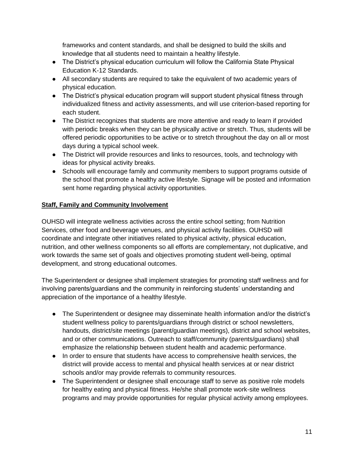frameworks and content standards, and shall be designed to build the skills and knowledge that all students need to maintain a healthy lifestyle.

- The District's physical education curriculum will follow the California State Physical Education K-12 Standards.
- All secondary students are required to take the equivalent of two academic years of physical education.
- The District's physical education program will support student physical fitness through individualized fitness and activity assessments, and will use criterion-based reporting for each student.
- The District recognizes that students are more attentive and ready to learn if provided with periodic breaks when they can be physically active or stretch. Thus, students will be offered periodic opportunities to be active or to stretch throughout the day on all or most days during a typical school week.
- The District will provide resources and links to resources, tools, and technology with ideas for physical activity breaks.
- Schools will encourage family and community members to support programs outside of the school that promote a healthy active lifestyle. Signage will be posted and information sent home regarding physical activity opportunities.

### **Staff, Family and Community Involvement**

OUHSD will integrate wellness activities across the entire school setting; from Nutrition Services, other food and beverage venues, and physical activity facilities. OUHSD will coordinate and integrate other initiatives related to physical activity, physical education, nutrition, and other wellness components so all efforts are complementary, not duplicative, and work towards the same set of goals and objectives promoting student well-being, optimal development, and strong educational outcomes.

The Superintendent or designee shall implement strategies for promoting staff wellness and for involving parents/guardians and the community in reinforcing students' understanding and appreciation of the importance of a healthy lifestyle.

- The Superintendent or designee may disseminate health information and/or the district's student wellness policy to parents/guardians through district or school newsletters, handouts, district/site meetings (parent/guardian meetings), district and school websites, and or other communications. Outreach to staff/community (parents/guardians) shall emphasize the relationship between student health and academic performance.
- In order to ensure that students have access to comprehensive health services, the district will provide access to mental and physical health services at or near district schools and/or may provide referrals to community resources.
- The Superintendent or designee shall encourage staff to serve as positive role models for healthy eating and physical fitness. He/she shall promote work-site wellness programs and may provide opportunities for regular physical activity among employees.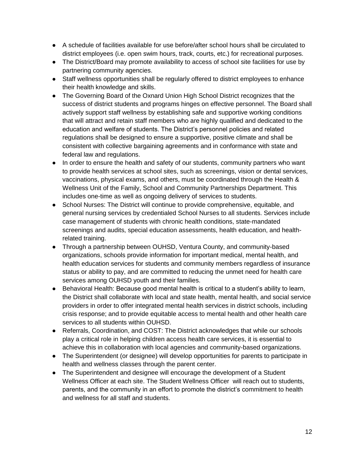- A schedule of facilities available for use before/after school hours shall be circulated to district employees (i.e. open swim hours, track, courts, etc.) for recreational purposes.
- The District/Board may promote availability to access of school site facilities for use by partnering community agencies.
- Staff wellness opportunities shall be regularly offered to district employees to enhance their health knowledge and skills.
- The Governing Board of the Oxnard Union High School District recognizes that the success of district students and programs hinges on effective personnel. The Board shall actively support staff wellness by establishing safe and supportive working conditions that will attract and retain staff members who are highly qualified and dedicated to the education and welfare of students. The District's personnel policies and related regulations shall be designed to ensure a supportive, positive climate and shall be consistent with collective bargaining agreements and in conformance with state and federal law and regulations.
- In order to ensure the health and safety of our students, community partners who want to provide health services at school sites, such as screenings, vision or dental services, vaccinations, physical exams, and others, must be coordinated through the Health & Wellness Unit of the Family, School and Community Partnerships Department. This includes one-time as well as ongoing delivery of services to students.
- School Nurses: The District will continue to provide comprehensive, equitable, and general nursing services by credentialed School Nurses to all students. Services include case management of students with chronic health conditions, state-mandated screenings and audits, special education assessments, health education, and healthrelated training.
- Through a partnership between OUHSD, Ventura County, and community-based organizations, schools provide information for important medical, mental health, and health education services for students and community members regardless of insurance status or ability to pay, and are committed to reducing the unmet need for health care services among OUHSD youth and their families.
- Behavioral Health: Because good mental health is critical to a student's ability to learn, the District shall collaborate with local and state health, mental health, and social service providers in order to offer integrated mental health services in district schools, including crisis response; and to provide equitable access to mental health and other health care services to all students within OUHSD.
- Referrals, Coordination, and COST: The District acknowledges that while our schools play a critical role in helping children access health care services, it is essential to achieve this in collaboration with local agencies and community-based organizations.
- The Superintendent (or designee) will develop opportunities for parents to participate in health and wellness classes through the parent center.
- The Superintendent and designee will encourage the development of a Student Wellness Officer at each site. The Student Wellness Officer will reach out to students, parents, and the community in an effort to promote the district's commitment to health and wellness for all staff and students.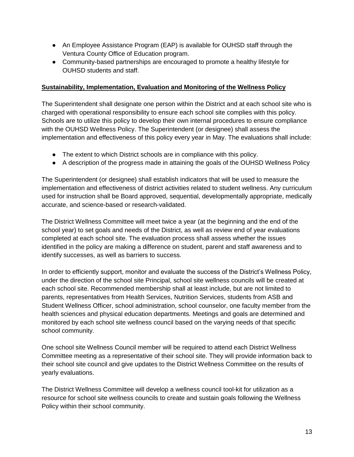- An Employee Assistance Program (EAP) is available for OUHSD staff through the Ventura County Office of Education program.
- Community-based partnerships are encouraged to promote a healthy lifestyle for OUHSD students and staff.

### **Sustainability, Implementation, Evaluation and Monitoring of the Wellness Policy**

The Superintendent shall designate one person within the District and at each school site who is charged with operational responsibility to ensure each school site complies with this policy. Schools are to utilize this policy to develop their own internal procedures to ensure compliance with the OUHSD Wellness Policy. The Superintendent (or designee) shall assess the implementation and effectiveness of this policy every year in May. The evaluations shall include:

- The extent to which District schools are in compliance with this policy.
- A description of the progress made in attaining the goals of the OUHSD Wellness Policy

The Superintendent (or designee) shall establish indicators that will be used to measure the implementation and effectiveness of district activities related to student wellness. Any curriculum used for instruction shall be Board approved, sequential, developmentally appropriate, medically accurate, and science-based or research-validated.

The District Wellness Committee will meet twice a year (at the beginning and the end of the school year) to set goals and needs of the District, as well as review end of year evaluations completed at each school site. The evaluation process shall assess whether the issues identified in the policy are making a difference on student, parent and staff awareness and to identify successes, as well as barriers to success.

In order to efficiently support, monitor and evaluate the success of the District's Wellness Policy, under the direction of the school site Principal, school site wellness councils will be created at each school site. Recommended membership shall at least include, but are not limited to parents, representatives from Health Services, Nutrition Services, students from ASB and Student Wellness Officer, school administration, school counselor, one faculty member from the health sciences and physical education departments. Meetings and goals are determined and monitored by each school site wellness council based on the varying needs of that specific school community.

One school site Wellness Council member will be required to attend each District Wellness Committee meeting as a representative of their school site. They will provide information back to their school site council and give updates to the District Wellness Committee on the results of yearly evaluations.

The District Wellness Committee will develop a wellness council tool-kit for utilization as a resource for school site wellness councils to create and sustain goals following the Wellness Policy within their school community.